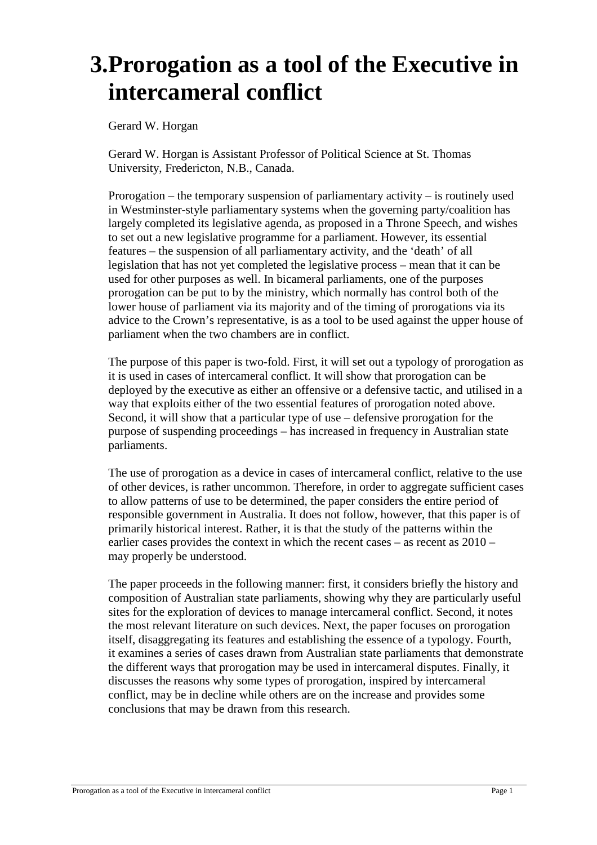# **3.Prorogation as a tool of the Executive in intercameral conflict**

Gerard W. Horgan

Gerard W. Horgan is Assistant Professor of Political Science at St. Thomas University, Fredericton, N.B., Canada.

Prorogation – the temporary suspension of parliamentary activity – is routinely used in Westminster-style parliamentary systems when the governing party/coalition has largely completed its legislative agenda, as proposed in a Throne Speech, and wishes to set out a new legislative programme for a parliament. However, its essential features – the suspension of all parliamentary activity, and the 'death' of all legislation that has not yet completed the legislative process – mean that it can be used for other purposes as well. In bicameral parliaments, one of the purposes prorogation can be put to by the ministry, which normally has control both of the lower house of parliament via its majority and of the timing of prorogations via its advice to the Crown's representative, is as a tool to be used against the upper house of parliament when the two chambers are in conflict.

The purpose of this paper is two-fold. First, it will set out a typology of prorogation as it is used in cases of intercameral conflict. It will show that prorogation can be deployed by the executive as either an offensive or a defensive tactic, and utilised in a way that exploits either of the two essential features of prorogation noted above. Second, it will show that a particular type of use – defensive prorogation for the purpose of suspending proceedings – has increased in frequency in Australian state parliaments.

The use of prorogation as a device in cases of intercameral conflict, relative to the use of other devices, is rather uncommon. Therefore, in order to aggregate sufficient cases to allow patterns of use to be determined, the paper considers the entire period of responsible government in Australia. It does not follow, however, that this paper is of primarily historical interest. Rather, it is that the study of the patterns within the earlier cases provides the context in which the recent cases – as recent as 2010 – may properly be understood.

The paper proceeds in the following manner: first, it considers briefly the history and composition of Australian state parliaments, showing why they are particularly useful sites for the exploration of devices to manage intercameral conflict. Second, it notes the most relevant literature on such devices. Next, the paper focuses on prorogation itself, disaggregating its features and establishing the essence of a typology. Fourth, it examines a series of cases drawn from Australian state parliaments that demonstrate the different ways that prorogation may be used in intercameral disputes. Finally, it discusses the reasons why some types of prorogation, inspired by intercameral conflict, may be in decline while others are on the increase and provides some conclusions that may be drawn from this research.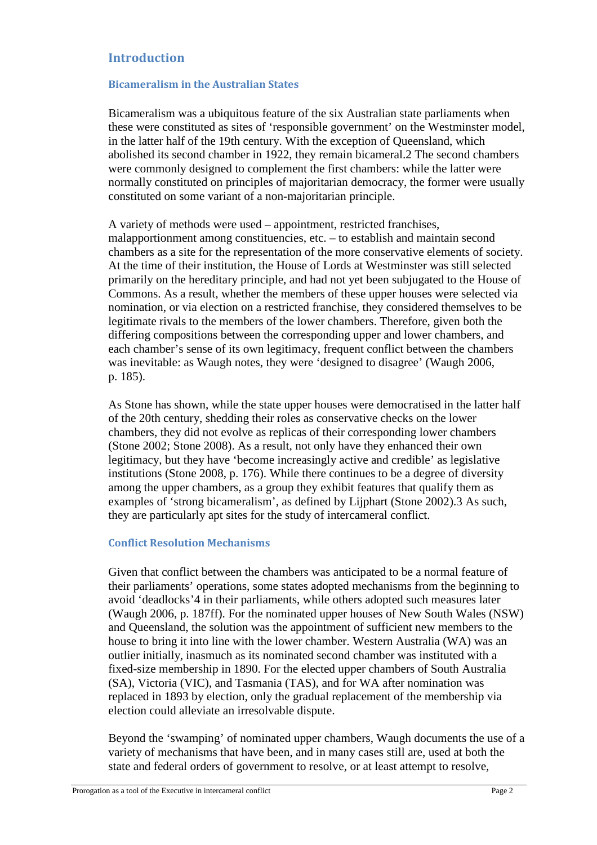# **Introduction**

#### **Bicameralism in the Australian States**

Bicameralism was a ubiquitous feature of the six Australian state parliaments when these were constituted as sites of 'responsible government' on the Westminster model, in the latter half of the 19th century. With the exception of Queensland, which abolished its second chamber in 1922, they remain bicameral.2 The second chambers were commonly designed to complement the first chambers: while the latter were normally constituted on principles of majoritarian democracy, the former were usually constituted on some variant of a non-majoritarian principle.

A variety of methods were used – appointment, restricted franchises, malapportionment among constituencies, etc. – to establish and maintain second chambers as a site for the representation of the more conservative elements of society. At the time of their institution, the House of Lords at Westminster was still selected primarily on the hereditary principle, and had not yet been subjugated to the House of Commons. As a result, whether the members of these upper houses were selected via nomination, or via election on a restricted franchise, they considered themselves to be legitimate rivals to the members of the lower chambers. Therefore, given both the differing compositions between the corresponding upper and lower chambers, and each chamber's sense of its own legitimacy, frequent conflict between the chambers was inevitable: as Waugh notes, they were 'designed to disagree' (Waugh 2006, p. 185).

As Stone has shown, while the state upper houses were democratised in the latter half of the 20th century, shedding their roles as conservative checks on the lower chambers, they did not evolve as replicas of their corresponding lower chambers (Stone 2002; Stone 2008). As a result, not only have they enhanced their own legitimacy, but they have 'become increasingly active and credible' as legislative institutions (Stone 2008, p. 176). While there continues to be a degree of diversity among the upper chambers, as a group they exhibit features that qualify them as examples of 'strong bicameralism', as defined by Lijphart (Stone 2002).3 As such, they are particularly apt sites for the study of intercameral conflict.

#### **Conflict Resolution Mechanisms**

Given that conflict between the chambers was anticipated to be a normal feature of their parliaments' operations, some states adopted mechanisms from the beginning to avoid 'deadlocks'4 in their parliaments, while others adopted such measures later (Waugh 2006, p. 187ff). For the nominated upper houses of New South Wales (NSW) and Queensland, the solution was the appointment of sufficient new members to the house to bring it into line with the lower chamber. Western Australia (WA) was an outlier initially, inasmuch as its nominated second chamber was instituted with a fixed-size membership in 1890. For the elected upper chambers of South Australia (SA), Victoria (VIC), and Tasmania (TAS), and for WA after nomination was replaced in 1893 by election, only the gradual replacement of the membership via election could alleviate an irresolvable dispute.

Beyond the 'swamping' of nominated upper chambers, Waugh documents the use of a variety of mechanisms that have been, and in many cases still are, used at both the state and federal orders of government to resolve, or at least attempt to resolve,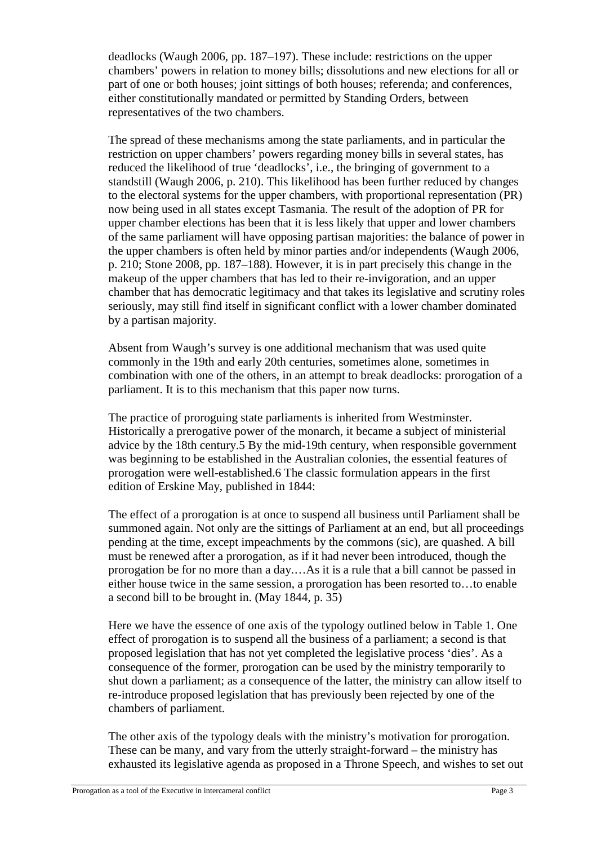deadlocks (Waugh 2006, pp. 187–197). These include: restrictions on the upper chambers' powers in relation to money bills; dissolutions and new elections for all or part of one or both houses; joint sittings of both houses; referenda; and conferences, either constitutionally mandated or permitted by Standing Orders, between representatives of the two chambers.

The spread of these mechanisms among the state parliaments, and in particular the restriction on upper chambers' powers regarding money bills in several states, has reduced the likelihood of true 'deadlocks', i.e., the bringing of government to a standstill (Waugh 2006, p. 210). This likelihood has been further reduced by changes to the electoral systems for the upper chambers, with proportional representation (PR) now being used in all states except Tasmania. The result of the adoption of PR for upper chamber elections has been that it is less likely that upper and lower chambers of the same parliament will have opposing partisan majorities: the balance of power in the upper chambers is often held by minor parties and/or independents (Waugh 2006, p. 210; Stone 2008, pp. 187–188). However, it is in part precisely this change in the makeup of the upper chambers that has led to their re-invigoration, and an upper chamber that has democratic legitimacy and that takes its legislative and scrutiny roles seriously, may still find itself in significant conflict with a lower chamber dominated by a partisan majority.

Absent from Waugh's survey is one additional mechanism that was used quite commonly in the 19th and early 20th centuries, sometimes alone, sometimes in combination with one of the others, in an attempt to break deadlocks: prorogation of a parliament. It is to this mechanism that this paper now turns.

The practice of proroguing state parliaments is inherited from Westminster. Historically a prerogative power of the monarch, it became a subject of ministerial advice by the 18th century.5 By the mid-19th century, when responsible government was beginning to be established in the Australian colonies, the essential features of prorogation were well-established.6 The classic formulation appears in the first edition of Erskine May, published in 1844:

The effect of a prorogation is at once to suspend all business until Parliament shall be summoned again. Not only are the sittings of Parliament at an end, but all proceedings pending at the time, except impeachments by the commons (sic), are quashed. A bill must be renewed after a prorogation, as if it had never been introduced, though the prorogation be for no more than a day.…As it is a rule that a bill cannot be passed in either house twice in the same session, a prorogation has been resorted to…to enable a second bill to be brought in. (May 1844, p. 35)

Here we have the essence of one axis of the typology outlined below in Table 1. One effect of prorogation is to suspend all the business of a parliament; a second is that proposed legislation that has not yet completed the legislative process 'dies'. As a consequence of the former, prorogation can be used by the ministry temporarily to shut down a parliament; as a consequence of the latter, the ministry can allow itself to re-introduce proposed legislation that has previously been rejected by one of the chambers of parliament.

The other axis of the typology deals with the ministry's motivation for prorogation. These can be many, and vary from the utterly straight-forward – the ministry has exhausted its legislative agenda as proposed in a Throne Speech, and wishes to set out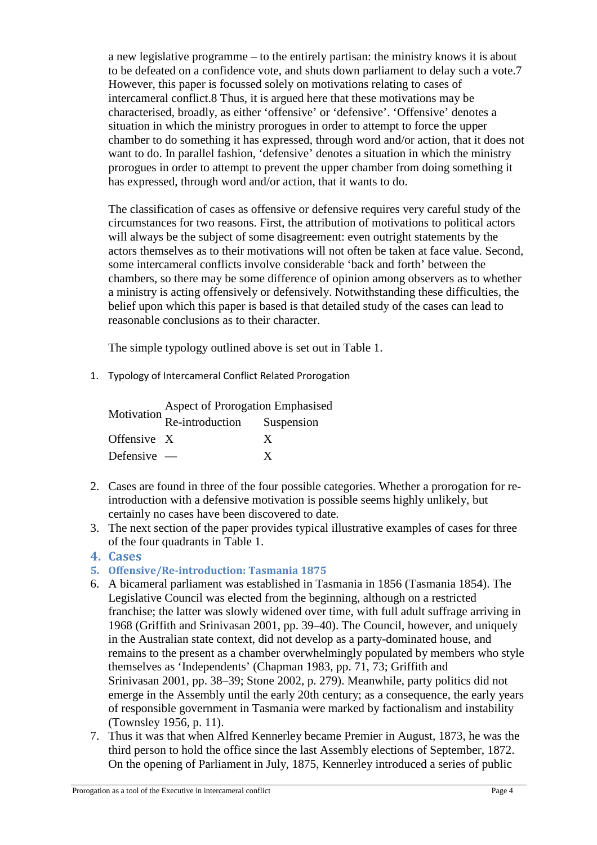a new legislative programme – to the entirely partisan: the ministry knows it is about to be defeated on a confidence vote, and shuts down parliament to delay such a vote.7 However, this paper is focussed solely on motivations relating to cases of intercameral conflict.8 Thus, it is argued here that these motivations may be characterised, broadly, as either 'offensive' or 'defensive'. 'Offensive' denotes a situation in which the ministry prorogues in order to attempt to force the upper chamber to do something it has expressed, through word and/or action, that it does not want to do. In parallel fashion, 'defensive' denotes a situation in which the ministry prorogues in order to attempt to prevent the upper chamber from doing something it has expressed, through word and/or action, that it wants to do.

The classification of cases as offensive or defensive requires very careful study of the circumstances for two reasons. First, the attribution of motivations to political actors will always be the subject of some disagreement: even outright statements by the actors themselves as to their motivations will not often be taken at face value. Second, some intercameral conflicts involve considerable 'back and forth' between the chambers, so there may be some difference of opinion among observers as to whether a ministry is acting offensively or defensively. Notwithstanding these difficulties, the belief upon which this paper is based is that detailed study of the cases can lead to reasonable conclusions as to their character.

The simple typology outlined above is set out in Table 1.

1. Typology of Intercameral Conflict Related Prorogation

|               | Aspect of Prorogation Emphasised<br>Motivation $\frac{A_5P^2}{R}$ Re-introduction Suspension |   |  |  |
|---------------|----------------------------------------------------------------------------------------------|---|--|--|
|               |                                                                                              |   |  |  |
| Offensive X   |                                                                                              | X |  |  |
| Defensive $-$ |                                                                                              | X |  |  |

- 2. Cases are found in three of the four possible categories. Whether a prorogation for reintroduction with a defensive motivation is possible seems highly unlikely, but certainly no cases have been discovered to date.
- 3. The next section of the paper provides typical illustrative examples of cases for three of the four quadrants in Table 1.

# **4. Cases**

# **5. Offensive/Re-introduction: Tasmania 1875**

- 6. A bicameral parliament was established in Tasmania in 1856 (Tasmania 1854). The Legislative Council was elected from the beginning, although on a restricted franchise; the latter was slowly widened over time, with full adult suffrage arriving in 1968 (Griffith and Srinivasan 2001, pp. 39–40). The Council, however, and uniquely in the Australian state context, did not develop as a party-dominated house, and remains to the present as a chamber overwhelmingly populated by members who style themselves as 'Independents' (Chapman 1983, pp. 71, 73; Griffith and Srinivasan 2001, pp. 38–39; Stone 2002, p. 279). Meanwhile, party politics did not emerge in the Assembly until the early 20th century; as a consequence, the early years of responsible government in Tasmania were marked by factionalism and instability (Townsley 1956, p. 11).
- 7. Thus it was that when Alfred Kennerley became Premier in August, 1873, he was the third person to hold the office since the last Assembly elections of September, 1872. On the opening of Parliament in July, 1875, Kennerley introduced a series of public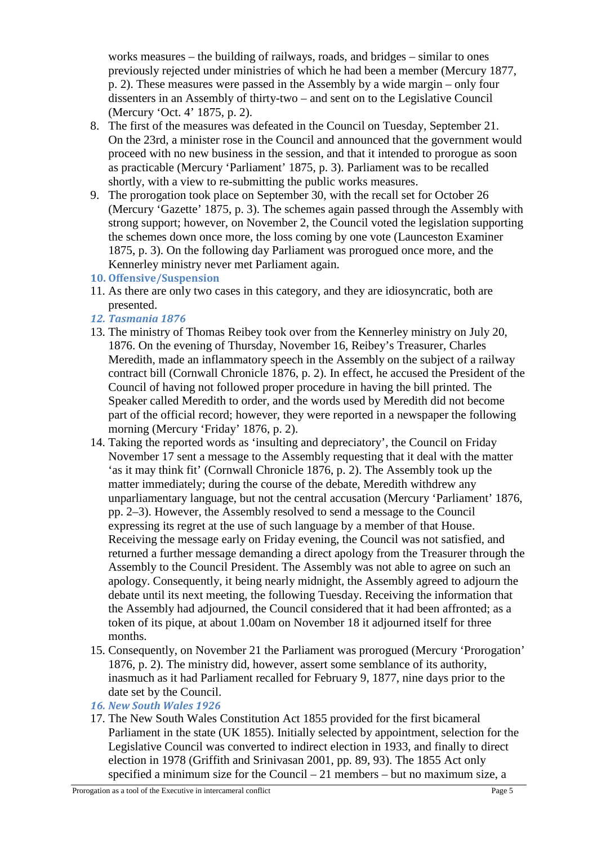works measures – the building of railways, roads, and bridges – similar to ones previously rejected under ministries of which he had been a member (Mercury 1877, p. 2). These measures were passed in the Assembly by a wide margin – only four dissenters in an Assembly of thirty-two – and sent on to the Legislative Council (Mercury 'Oct. 4' 1875, p. 2).

- 8. The first of the measures was defeated in the Council on Tuesday, September 21. On the 23rd, a minister rose in the Council and announced that the government would proceed with no new business in the session, and that it intended to prorogue as soon as practicable (Mercury 'Parliament' 1875, p. 3). Parliament was to be recalled shortly, with a view to re-submitting the public works measures.
- 9. The prorogation took place on September 30, with the recall set for October 26 (Mercury 'Gazette' 1875, p. 3). The schemes again passed through the Assembly with strong support; however, on November 2, the Council voted the legislation supporting the schemes down once more, the loss coming by one vote (Launceston Examiner 1875, p. 3). On the following day Parliament was prorogued once more, and the Kennerley ministry never met Parliament again.
- **10. Offensive/Suspension**
- 11. As there are only two cases in this category, and they are idiosyncratic, both are presented.
- *12. Tasmania 1876*
- 13. The ministry of Thomas Reibey took over from the Kennerley ministry on July 20, 1876. On the evening of Thursday, November 16, Reibey's Treasurer, Charles Meredith, made an inflammatory speech in the Assembly on the subject of a railway contract bill (Cornwall Chronicle 1876, p. 2). In effect, he accused the President of the Council of having not followed proper procedure in having the bill printed. The Speaker called Meredith to order, and the words used by Meredith did not become part of the official record; however, they were reported in a newspaper the following morning (Mercury 'Friday' 1876, p. 2).
- 14. Taking the reported words as 'insulting and depreciatory', the Council on Friday November 17 sent a message to the Assembly requesting that it deal with the matter 'as it may think fit' (Cornwall Chronicle 1876, p. 2). The Assembly took up the matter immediately; during the course of the debate, Meredith withdrew any unparliamentary language, but not the central accusation (Mercury 'Parliament' 1876, pp. 2–3). However, the Assembly resolved to send a message to the Council expressing its regret at the use of such language by a member of that House. Receiving the message early on Friday evening, the Council was not satisfied, and returned a further message demanding a direct apology from the Treasurer through the Assembly to the Council President. The Assembly was not able to agree on such an apology. Consequently, it being nearly midnight, the Assembly agreed to adjourn the debate until its next meeting, the following Tuesday. Receiving the information that the Assembly had adjourned, the Council considered that it had been affronted; as a token of its pique, at about 1.00am on November 18 it adjourned itself for three months.
- 15. Consequently, on November 21 the Parliament was prorogued (Mercury 'Prorogation' 1876, p. 2). The ministry did, however, assert some semblance of its authority, inasmuch as it had Parliament recalled for February 9, 1877, nine days prior to the date set by the Council.
- *16. New South Wales 1926*
- 17. The New South Wales Constitution Act 1855 provided for the first bicameral Parliament in the state (UK 1855). Initially selected by appointment, selection for the Legislative Council was converted to indirect election in 1933, and finally to direct election in 1978 (Griffith and Srinivasan 2001, pp. 89, 93). The 1855 Act only specified a minimum size for the Council – 21 members – but no maximum size, a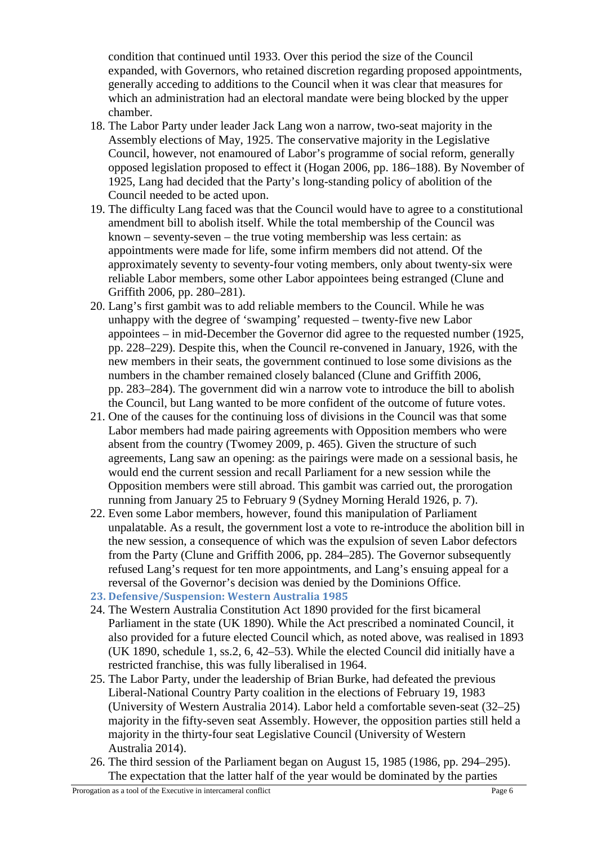condition that continued until 1933. Over this period the size of the Council expanded, with Governors, who retained discretion regarding proposed appointments, generally acceding to additions to the Council when it was clear that measures for which an administration had an electoral mandate were being blocked by the upper chamber.

- 18. The Labor Party under leader Jack Lang won a narrow, two-seat majority in the Assembly elections of May, 1925. The conservative majority in the Legislative Council, however, not enamoured of Labor's programme of social reform, generally opposed legislation proposed to effect it (Hogan 2006, pp. 186–188). By November of 1925, Lang had decided that the Party's long-standing policy of abolition of the Council needed to be acted upon.
- 19. The difficulty Lang faced was that the Council would have to agree to a constitutional amendment bill to abolish itself. While the total membership of the Council was known – seventy-seven – the true voting membership was less certain: as appointments were made for life, some infirm members did not attend. Of the approximately seventy to seventy-four voting members, only about twenty-six were reliable Labor members, some other Labor appointees being estranged (Clune and Griffith 2006, pp. 280–281).
- 20. Lang's first gambit was to add reliable members to the Council. While he was unhappy with the degree of 'swamping' requested – twenty-five new Labor appointees – in mid-December the Governor did agree to the requested number (1925, pp. 228–229). Despite this, when the Council re-convened in January, 1926, with the new members in their seats, the government continued to lose some divisions as the numbers in the chamber remained closely balanced (Clune and Griffith 2006, pp. 283–284). The government did win a narrow vote to introduce the bill to abolish the Council, but Lang wanted to be more confident of the outcome of future votes.
- 21. One of the causes for the continuing loss of divisions in the Council was that some Labor members had made pairing agreements with Opposition members who were absent from the country (Twomey 2009, p. 465). Given the structure of such agreements, Lang saw an opening: as the pairings were made on a sessional basis, he would end the current session and recall Parliament for a new session while the Opposition members were still abroad. This gambit was carried out, the prorogation running from January 25 to February 9 (Sydney Morning Herald 1926, p. 7).
- 22. Even some Labor members, however, found this manipulation of Parliament unpalatable. As a result, the government lost a vote to re-introduce the abolition bill in the new session, a consequence of which was the expulsion of seven Labor defectors from the Party (Clune and Griffith 2006, pp. 284–285). The Governor subsequently refused Lang's request for ten more appointments, and Lang's ensuing appeal for a reversal of the Governor's decision was denied by the Dominions Office.
- **23. Defensive/Suspension: Western Australia 1985**
- 24. The Western Australia Constitution Act 1890 provided for the first bicameral Parliament in the state (UK 1890). While the Act prescribed a nominated Council, it also provided for a future elected Council which, as noted above, was realised in 1893 (UK 1890, schedule 1, ss.2, 6, 42–53). While the elected Council did initially have a restricted franchise, this was fully liberalised in 1964.
- 25. The Labor Party, under the leadership of Brian Burke, had defeated the previous Liberal-National Country Party coalition in the elections of February 19, 1983 (University of Western Australia 2014). Labor held a comfortable seven-seat (32–25) majority in the fifty-seven seat Assembly. However, the opposition parties still held a majority in the thirty-four seat Legislative Council (University of Western Australia 2014).
- 26. The third session of the Parliament began on August 15, 1985 (1986, pp. 294–295). The expectation that the latter half of the year would be dominated by the parties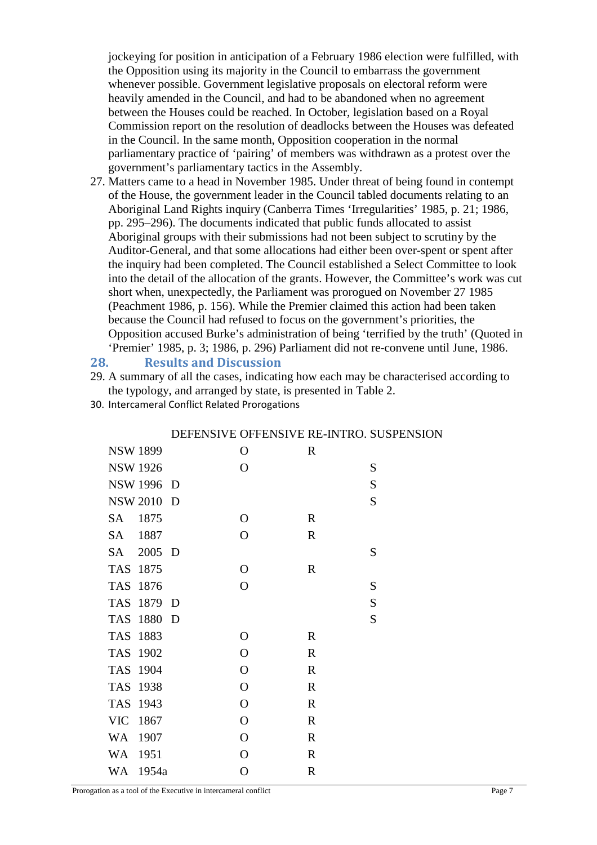jockeying for position in anticipation of a February 1986 election were fulfilled, with the Opposition using its majority in the Council to embarrass the government whenever possible. Government legislative proposals on electoral reform were heavily amended in the Council, and had to be abandoned when no agreement between the Houses could be reached. In October, legislation based on a Royal Commission report on the resolution of deadlocks between the Houses was defeated in the Council. In the same month, Opposition cooperation in the normal parliamentary practice of 'pairing' of members was withdrawn as a protest over the government's parliamentary tactics in the Assembly.

27. Matters came to a head in November 1985. Under threat of being found in contempt of the House, the government leader in the Council tabled documents relating to an Aboriginal Land Rights inquiry (Canberra Times 'Irregularities' 1985, p. 21; 1986, pp. 295–296). The documents indicated that public funds allocated to assist Aboriginal groups with their submissions had not been subject to scrutiny by the Auditor-General, and that some allocations had either been over-spent or spent after the inquiry had been completed. The Council established a Select Committee to look into the detail of the allocation of the grants. However, the Committee's work was cut short when, unexpectedly, the Parliament was prorogued on November 27 1985 (Peachment 1986, p. 156). While the Premier claimed this action had been taken because the Council had refused to focus on the government's priorities, the Opposition accused Burke's administration of being 'terrified by the truth' (Quoted in 'Premier' 1985, p. 3; 1986, p. 296) Parliament did not re-convene until June, 1986.

#### **28. Results and Discussion**

- 29. A summary of all the cases, indicating how each may be characterised according to the typology, and arranged by state, is presented in Table 2.
- 30. Intercameral Conflict Related Prorogations

|                 |       | . |                | $\cdots$    |           |
|-----------------|-------|---|----------------|-------------|-----------|
| <b>NSW 1899</b> |       |   | $\Omega$       | $\mathbf R$ |           |
| <b>NSW 1926</b> |       |   | O              |             | S         |
| <b>NSW 1996</b> |       | D |                |             | S         |
| <b>NSW 2010</b> |       | D |                |             | S         |
| <b>SA</b>       | 1875  |   | $\overline{O}$ | $\mathbf R$ |           |
| <b>SA</b>       | 1887  |   | $\overline{O}$ | $\mathbf R$ |           |
| SА              | 2005  | D |                |             | S         |
| <b>TAS</b>      | 1875  |   | $\mathbf O$    | $\mathbf R$ |           |
| <b>TAS</b>      | 1876  |   | $\overline{O}$ |             | S         |
| <b>TAS</b>      | 1879  | D |                |             | ${\bf S}$ |
| <b>TAS</b>      | 1880  | D |                |             | S         |
| <b>TAS</b>      | 1883  |   | $\mathbf O$    | $\mathbf R$ |           |
| <b>TAS</b>      | 1902  |   | $\overline{O}$ | $\mathbf R$ |           |
| <b>TAS</b>      | 1904  |   | $\mathbf O$    | $\mathbf R$ |           |
| <b>TAS</b>      | 1938  |   | $\overline{O}$ | $\mathbf R$ |           |
| <b>TAS</b>      | 1943  |   | $\overline{O}$ | $\mathbf R$ |           |
| <b>VIC</b>      | 1867  |   | $\overline{O}$ | $\mathbf R$ |           |
| <b>WA</b>       | 1907  |   | $\mathbf O$    | $\mathbf R$ |           |
| <b>WA</b>       | 1951  |   | $\overline{O}$ | $\mathbf R$ |           |
| WA              | 1954a |   | $\overline{O}$ | $\mathbf R$ |           |
|                 |       |   |                |             |           |

## DEFENSIVE OFFENSIVE RE-INTRO. SUSPENSION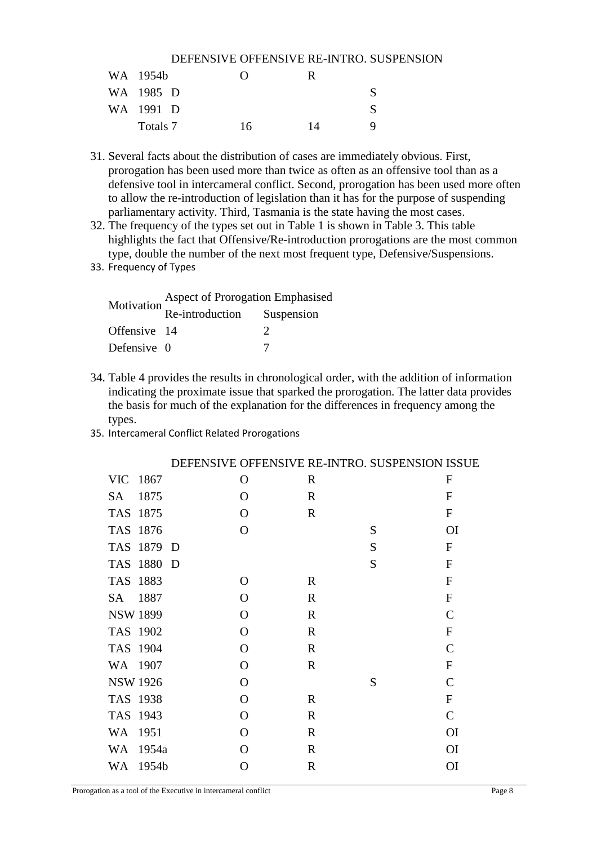|           |     |    | DEFENSIVE OFFENSIVE RE-INTRO. SUSPENSION |
|-----------|-----|----|------------------------------------------|
| WA 1954b  | 0   | R. |                                          |
| WA 1985 D |     |    |                                          |
| WA 1991 D |     |    |                                          |
| Totals 7  | 16. | 14 |                                          |

- 31. Several facts about the distribution of cases are immediately obvious. First, prorogation has been used more than twice as often as an offensive tool than as a defensive tool in intercameral conflict. Second, prorogation has been used more often to allow the re-introduction of legislation than it has for the purpose of suspending parliamentary activity. Third, Tasmania is the state having the most cases.
- 32. The frequency of the types set out in Table 1 is shown in Table 3. This table highlights the fact that Offensive/Re-introduction prorogations are the most common type, double the number of the next most frequent type, Defensive/Suspensions.
- 33. Frequency of Types

|              | <b>Aspect of Prorogation Emphasised</b>                          |  |  |  |
|--------------|------------------------------------------------------------------|--|--|--|
|              | Motivation $\overrightarrow{Re\text{-}}$ introduction Suspension |  |  |  |
| Offensive 14 |                                                                  |  |  |  |
| Defensive 0  |                                                                  |  |  |  |

- 34. Table 4 provides the results in chronological order, with the addition of information indicating the proximate issue that sparked the prorogation. The latter data provides the basis for much of the explanation for the differences in frequency among the types.
- 35. Intercameral Conflict Related Prorogations

|                 |       |     |              |              | DEFENSIVE OFFENSIVE RE-INTRO. SUSPENSION ISSUE |                |
|-----------------|-------|-----|--------------|--------------|------------------------------------------------|----------------|
| <b>VIC</b>      | 1867  |     | $\mathbf{O}$ | $\mathbf R$  |                                                | $\mathbf F$    |
| <b>SA</b>       | 1875  |     | $\mathbf{O}$ | $\mathbf R$  |                                                | $\overline{F}$ |
| <b>TAS</b>      | 1875  |     | $\Omega$     | $\mathbf R$  |                                                | ${\bf F}$      |
| <b>TAS</b>      | 1876  |     | $\mathbf{O}$ |              | S                                              | <b>OI</b>      |
| <b>TAS</b>      | 1879  | - D |              |              | S                                              | $\mathbf{F}$   |
| <b>TAS</b>      | 1880  | D   |              |              | S                                              | ${\bf F}$      |
| <b>TAS</b>      | 1883  |     | $\Omega$     | $\mathbf R$  |                                                | ${\bf F}$      |
| <b>SA</b>       | 1887  |     | $\Omega$     | $\mathbf R$  |                                                | ${\bf F}$      |
| <b>NSW 1899</b> |       |     | $\Omega$     | $\mathbf R$  |                                                | $\mathbf C$    |
| TAS 1902        |       |     | $\Omega$     | $\mathbf R$  |                                                | F              |
| TAS 1904        |       |     | $\Omega$     | $\mathbf R$  |                                                | $\mathcal{C}$  |
| WA 1907         |       |     | $\Omega$     | $\mathbf R$  |                                                | ${\bf F}$      |
| <b>NSW 1926</b> |       |     | $\Omega$     |              | S                                              | $\mathsf{C}$   |
| TAS 1938        |       |     | $\Omega$     | $\mathbf R$  |                                                | ${\bf F}$      |
| TAS 1943        |       |     | $\Omega$     | $\mathbf R$  |                                                | $\mathcal{C}$  |
| <b>WA</b>       | 1951  |     | $\Omega$     | $\mathbf R$  |                                                | <b>OI</b>      |
| <b>WA</b>       | 1954a |     | $\Omega$     | $\mathbf R$  |                                                | <b>OI</b>      |
| <b>WA</b>       | 1954b |     | O            | $\mathbb{R}$ |                                                | <b>OI</b>      |

Prorogation as a tool of the Executive in intercameral conflict Page 8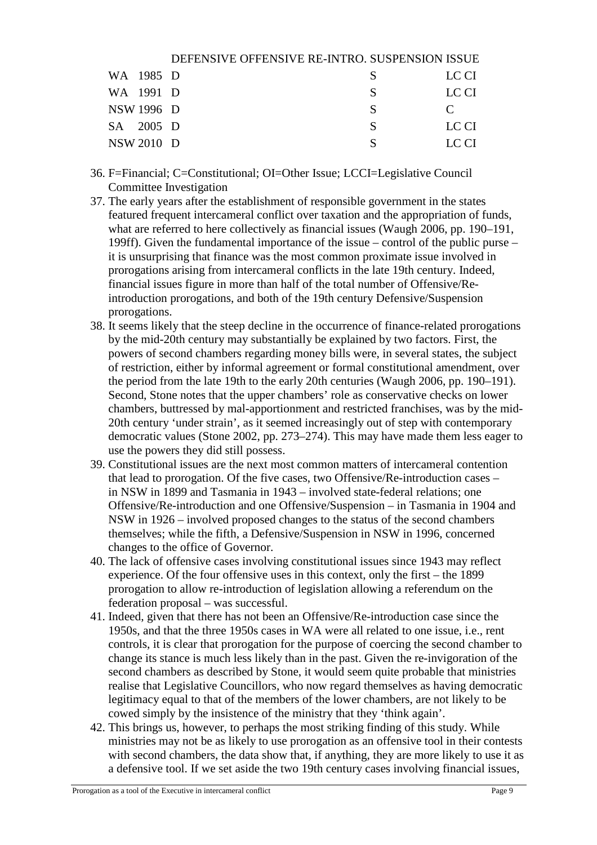|            | DEFENSIVE OFFENSIVE RE-INTRO. SUSPENSION ISSUE |   |       |
|------------|------------------------------------------------|---|-------|
| WA 1985 D  |                                                | S | LC CI |
| WA 1991 D  |                                                | S | LC CI |
| NSW 1996 D |                                                | S |       |
| SA 2005 D  |                                                | S | LC CI |
| NSW 2010 D |                                                |   | LC CI |

- 36. F=Financial; C=Constitutional; OI=Other Issue; LCCI=Legislative Council Committee Investigation
- 37. The early years after the establishment of responsible government in the states featured frequent intercameral conflict over taxation and the appropriation of funds, what are referred to here collectively as financial issues (Waugh 2006, pp. 190–191, 199ff). Given the fundamental importance of the issue – control of the public purse – it is unsurprising that finance was the most common proximate issue involved in prorogations arising from intercameral conflicts in the late 19th century. Indeed, financial issues figure in more than half of the total number of Offensive/Reintroduction prorogations, and both of the 19th century Defensive/Suspension prorogations.
- 38. It seems likely that the steep decline in the occurrence of finance-related prorogations by the mid-20th century may substantially be explained by two factors. First, the powers of second chambers regarding money bills were, in several states, the subject of restriction, either by informal agreement or formal constitutional amendment, over the period from the late 19th to the early 20th centuries (Waugh 2006, pp. 190–191). Second, Stone notes that the upper chambers' role as conservative checks on lower chambers, buttressed by mal-apportionment and restricted franchises, was by the mid-20th century 'under strain', as it seemed increasingly out of step with contemporary democratic values (Stone 2002, pp. 273–274). This may have made them less eager to use the powers they did still possess.
- 39. Constitutional issues are the next most common matters of intercameral contention that lead to prorogation. Of the five cases, two Offensive/Re-introduction cases – in NSW in 1899 and Tasmania in 1943 – involved state-federal relations; one Offensive/Re-introduction and one Offensive/Suspension – in Tasmania in 1904 and NSW in 1926 – involved proposed changes to the status of the second chambers themselves; while the fifth, a Defensive/Suspension in NSW in 1996, concerned changes to the office of Governor.
- 40. The lack of offensive cases involving constitutional issues since 1943 may reflect experience. Of the four offensive uses in this context, only the first – the 1899 prorogation to allow re-introduction of legislation allowing a referendum on the federation proposal – was successful.
- 41. Indeed, given that there has not been an Offensive/Re-introduction case since the 1950s, and that the three 1950s cases in WA were all related to one issue, i.e., rent controls, it is clear that prorogation for the purpose of coercing the second chamber to change its stance is much less likely than in the past. Given the re-invigoration of the second chambers as described by Stone, it would seem quite probable that ministries realise that Legislative Councillors, who now regard themselves as having democratic legitimacy equal to that of the members of the lower chambers, are not likely to be cowed simply by the insistence of the ministry that they 'think again'.
- 42. This brings us, however, to perhaps the most striking finding of this study. While ministries may not be as likely to use prorogation as an offensive tool in their contests with second chambers, the data show that, if anything, they are more likely to use it as a defensive tool. If we set aside the two 19th century cases involving financial issues,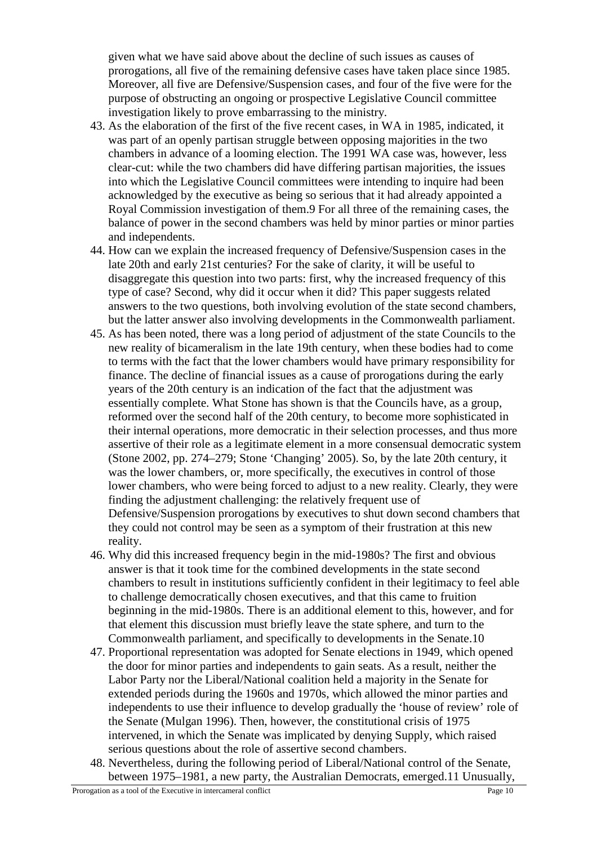given what we have said above about the decline of such issues as causes of prorogations, all five of the remaining defensive cases have taken place since 1985. Moreover, all five are Defensive/Suspension cases, and four of the five were for the purpose of obstructing an ongoing or prospective Legislative Council committee investigation likely to prove embarrassing to the ministry.

- 43. As the elaboration of the first of the five recent cases, in WA in 1985, indicated, it was part of an openly partisan struggle between opposing majorities in the two chambers in advance of a looming election. The 1991 WA case was, however, less clear-cut: while the two chambers did have differing partisan majorities, the issues into which the Legislative Council committees were intending to inquire had been acknowledged by the executive as being so serious that it had already appointed a Royal Commission investigation of them.9 For all three of the remaining cases, the balance of power in the second chambers was held by minor parties or minor parties and independents.
- 44. How can we explain the increased frequency of Defensive/Suspension cases in the late 20th and early 21st centuries? For the sake of clarity, it will be useful to disaggregate this question into two parts: first, why the increased frequency of this type of case? Second, why did it occur when it did? This paper suggests related answers to the two questions, both involving evolution of the state second chambers, but the latter answer also involving developments in the Commonwealth parliament.
- 45. As has been noted, there was a long period of adjustment of the state Councils to the new reality of bicameralism in the late 19th century, when these bodies had to come to terms with the fact that the lower chambers would have primary responsibility for finance. The decline of financial issues as a cause of prorogations during the early years of the 20th century is an indication of the fact that the adjustment was essentially complete. What Stone has shown is that the Councils have, as a group, reformed over the second half of the 20th century, to become more sophisticated in their internal operations, more democratic in their selection processes, and thus more assertive of their role as a legitimate element in a more consensual democratic system (Stone 2002, pp. 274–279; Stone 'Changing' 2005). So, by the late 20th century, it was the lower chambers, or, more specifically, the executives in control of those lower chambers, who were being forced to adjust to a new reality. Clearly, they were finding the adjustment challenging: the relatively frequent use of Defensive/Suspension prorogations by executives to shut down second chambers that they could not control may be seen as a symptom of their frustration at this new reality.
- 46. Why did this increased frequency begin in the mid-1980s? The first and obvious answer is that it took time for the combined developments in the state second chambers to result in institutions sufficiently confident in their legitimacy to feel able to challenge democratically chosen executives, and that this came to fruition beginning in the mid-1980s. There is an additional element to this, however, and for that element this discussion must briefly leave the state sphere, and turn to the Commonwealth parliament, and specifically to developments in the Senate.10
- 47. Proportional representation was adopted for Senate elections in 1949, which opened the door for minor parties and independents to gain seats. As a result, neither the Labor Party nor the Liberal/National coalition held a majority in the Senate for extended periods during the 1960s and 1970s, which allowed the minor parties and independents to use their influence to develop gradually the 'house of review' role of the Senate (Mulgan 1996). Then, however, the constitutional crisis of 1975 intervened, in which the Senate was implicated by denying Supply, which raised serious questions about the role of assertive second chambers.
- 48. Nevertheless, during the following period of Liberal/National control of the Senate, between 1975–1981, a new party, the Australian Democrats, emerged.11 Unusually,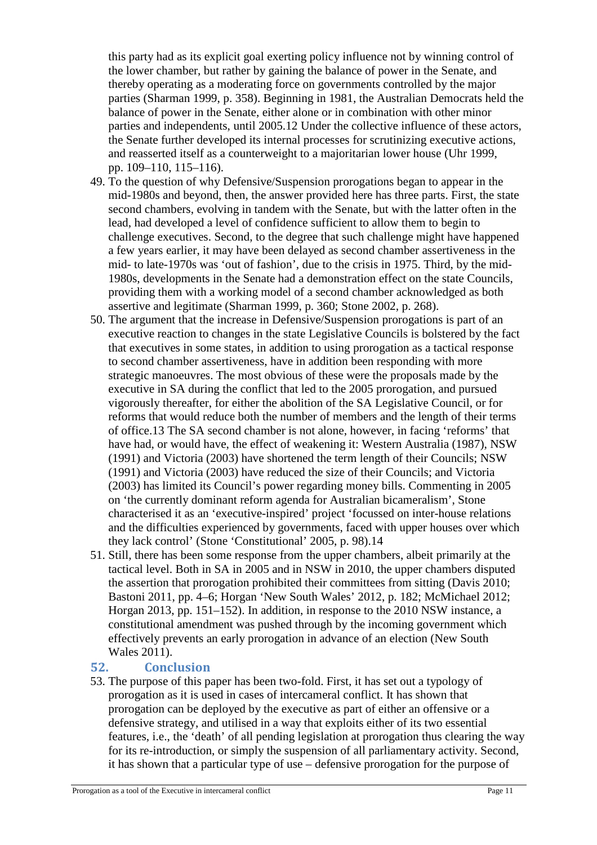this party had as its explicit goal exerting policy influence not by winning control of the lower chamber, but rather by gaining the balance of power in the Senate, and thereby operating as a moderating force on governments controlled by the major parties (Sharman 1999, p. 358). Beginning in 1981, the Australian Democrats held the balance of power in the Senate, either alone or in combination with other minor parties and independents, until 2005.12 Under the collective influence of these actors, the Senate further developed its internal processes for scrutinizing executive actions, and reasserted itself as a counterweight to a majoritarian lower house (Uhr 1999, pp. 109–110, 115–116).

- 49. To the question of why Defensive/Suspension prorogations began to appear in the mid-1980s and beyond, then, the answer provided here has three parts. First, the state second chambers, evolving in tandem with the Senate, but with the latter often in the lead, had developed a level of confidence sufficient to allow them to begin to challenge executives. Second, to the degree that such challenge might have happened a few years earlier, it may have been delayed as second chamber assertiveness in the mid- to late-1970s was 'out of fashion', due to the crisis in 1975. Third, by the mid-1980s, developments in the Senate had a demonstration effect on the state Councils, providing them with a working model of a second chamber acknowledged as both assertive and legitimate (Sharman 1999, p. 360; Stone 2002, p. 268).
- 50. The argument that the increase in Defensive/Suspension prorogations is part of an executive reaction to changes in the state Legislative Councils is bolstered by the fact that executives in some states, in addition to using prorogation as a tactical response to second chamber assertiveness, have in addition been responding with more strategic manoeuvres. The most obvious of these were the proposals made by the executive in SA during the conflict that led to the 2005 prorogation, and pursued vigorously thereafter, for either the abolition of the SA Legislative Council, or for reforms that would reduce both the number of members and the length of their terms of office.13 The SA second chamber is not alone, however, in facing 'reforms' that have had, or would have, the effect of weakening it: Western Australia (1987), NSW (1991) and Victoria (2003) have shortened the term length of their Councils; NSW (1991) and Victoria (2003) have reduced the size of their Councils; and Victoria (2003) has limited its Council's power regarding money bills. Commenting in 2005 on 'the currently dominant reform agenda for Australian bicameralism', Stone characterised it as an 'executive-inspired' project 'focussed on inter-house relations and the difficulties experienced by governments, faced with upper houses over which they lack control' (Stone 'Constitutional' 2005, p. 98).14
- 51. Still, there has been some response from the upper chambers, albeit primarily at the tactical level. Both in SA in 2005 and in NSW in 2010, the upper chambers disputed the assertion that prorogation prohibited their committees from sitting (Davis 2010; Bastoni 2011, pp. 4–6; Horgan 'New South Wales' 2012, p. 182; McMichael 2012; Horgan 2013, pp. 151–152). In addition, in response to the 2010 NSW instance, a constitutional amendment was pushed through by the incoming government which effectively prevents an early prorogation in advance of an election (New South Wales 2011).

## **52. Conclusion**

53. The purpose of this paper has been two-fold. First, it has set out a typology of prorogation as it is used in cases of intercameral conflict. It has shown that prorogation can be deployed by the executive as part of either an offensive or a defensive strategy, and utilised in a way that exploits either of its two essential features, i.e., the 'death' of all pending legislation at prorogation thus clearing the way for its re-introduction, or simply the suspension of all parliamentary activity. Second, it has shown that a particular type of use – defensive prorogation for the purpose of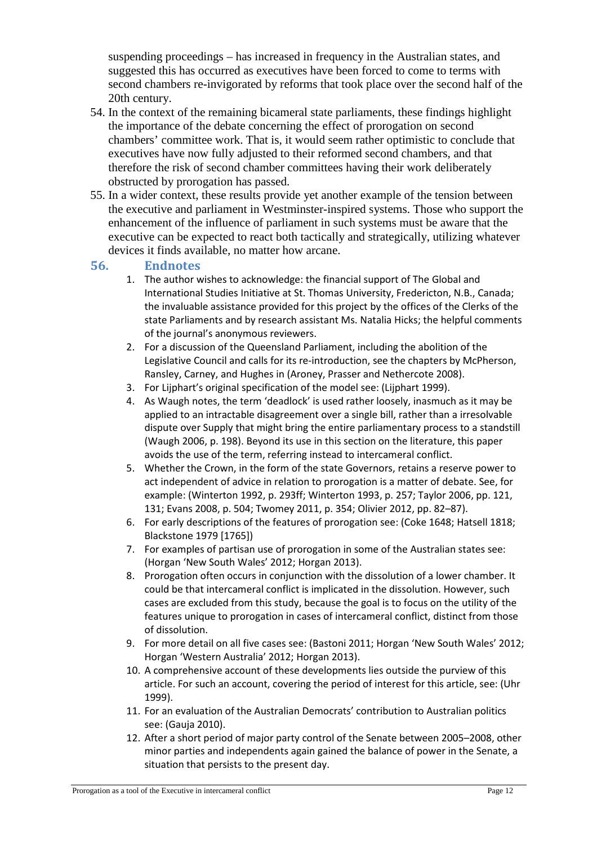suspending proceedings – has increased in frequency in the Australian states, and suggested this has occurred as executives have been forced to come to terms with second chambers re-invigorated by reforms that took place over the second half of the 20th century.

- 54. In the context of the remaining bicameral state parliaments, these findings highlight the importance of the debate concerning the effect of prorogation on second chambers' committee work. That is, it would seem rather optimistic to conclude that executives have now fully adjusted to their reformed second chambers, and that therefore the risk of second chamber committees having their work deliberately obstructed by prorogation has passed.
- 55. In a wider context, these results provide yet another example of the tension between the executive and parliament in Westminster-inspired systems. Those who support the enhancement of the influence of parliament in such systems must be aware that the executive can be expected to react both tactically and strategically, utilizing whatever devices it finds available, no matter how arcane.

## **56. Endnotes**

- 1. The author wishes to acknowledge: the financial support of The Global and International Studies Initiative at St. Thomas University, Fredericton, N.B., Canada; the invaluable assistance provided for this project by the offices of the Clerks of the state Parliaments and by research assistant Ms. Natalia Hicks; the helpful comments of the journal's anonymous reviewers.
- 2. For a discussion of the Queensland Parliament, including the abolition of the Legislative Council and calls for its re-introduction, see the chapters by McPherson, Ransley, Carney, and Hughes in (Aroney, Prasser and Nethercote 2008).
- 3. For Lijphart's original specification of the model see: (Lijphart 1999).
- 4. As Waugh notes, the term 'deadlock' is used rather loosely, inasmuch as it may be applied to an intractable disagreement over a single bill, rather than a irresolvable dispute over Supply that might bring the entire parliamentary process to a standstill (Waugh 2006, p. 198). Beyond its use in this section on the literature, this paper avoids the use of the term, referring instead to intercameral conflict.
- 5. Whether the Crown, in the form of the state Governors, retains a reserve power to act independent of advice in relation to prorogation is a matter of debate. See, for example: (Winterton 1992, p. 293ff; Winterton 1993, p. 257; Taylor 2006, pp. 121, 131; Evans 2008, p. 504; Twomey 2011, p. 354; Olivier 2012, pp. 82–87).
- 6. For early descriptions of the features of prorogation see: (Coke 1648; Hatsell 1818; Blackstone 1979 [1765])
- 7. For examples of partisan use of prorogation in some of the Australian states see: (Horgan 'New South Wales' 2012; Horgan 2013).
- 8. Prorogation often occurs in conjunction with the dissolution of a lower chamber. It could be that intercameral conflict is implicated in the dissolution. However, such cases are excluded from this study, because the goal is to focus on the utility of the features unique to prorogation in cases of intercameral conflict, distinct from those of dissolution.
- 9. For more detail on all five cases see: (Bastoni 2011; Horgan 'New South Wales' 2012; Horgan 'Western Australia' 2012; Horgan 2013).
- 10. A comprehensive account of these developments lies outside the purview of this article. For such an account, covering the period of interest for this article, see: (Uhr 1999).
- 11. For an evaluation of the Australian Democrats' contribution to Australian politics see: (Gauja 2010).
- 12. After a short period of major party control of the Senate between 2005–2008, other minor parties and independents again gained the balance of power in the Senate, a situation that persists to the present day.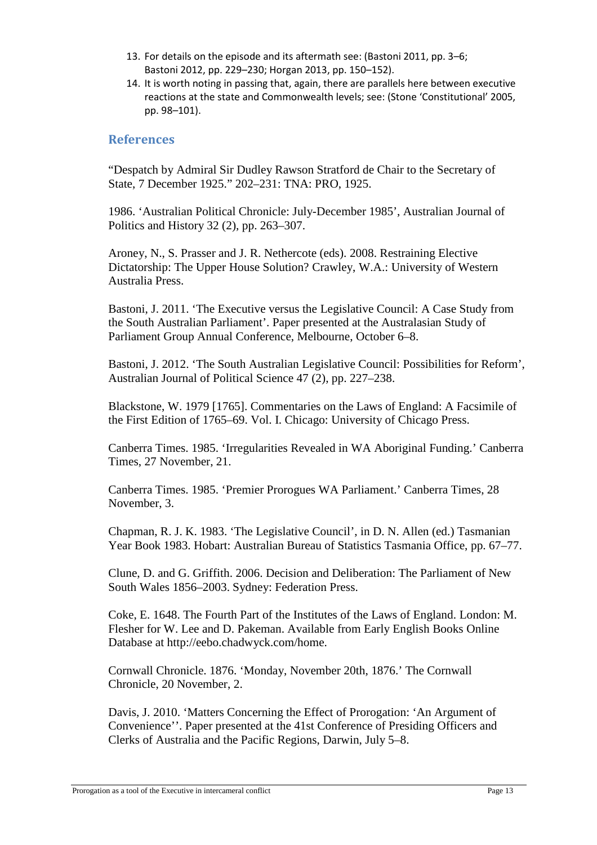- 13. For details on the episode and its aftermath see: (Bastoni 2011, pp. 3–6; Bastoni 2012, pp. 229–230; Horgan 2013, pp. 150–152).
- 14. It is worth noting in passing that, again, there are parallels here between executive reactions at the state and Commonwealth levels; see: (Stone 'Constitutional' 2005, pp. 98–101).

## **References**

"Despatch by Admiral Sir Dudley Rawson Stratford de Chair to the Secretary of State, 7 December 1925." 202–231: TNA: PRO, 1925.

1986. 'Australian Political Chronicle: July-December 1985', Australian Journal of Politics and History 32 (2), pp. 263–307.

Aroney, N., S. Prasser and J. R. Nethercote (eds). 2008. Restraining Elective Dictatorship: The Upper House Solution? Crawley, W.A.: University of Western Australia Press.

Bastoni, J. 2011. 'The Executive versus the Legislative Council: A Case Study from the South Australian Parliament'. Paper presented at the Australasian Study of Parliament Group Annual Conference, Melbourne, October 6–8.

Bastoni, J. 2012. 'The South Australian Legislative Council: Possibilities for Reform', Australian Journal of Political Science 47 (2), pp. 227–238.

Blackstone, W. 1979 [1765]. Commentaries on the Laws of England: A Facsimile of the First Edition of 1765–69. Vol. I. Chicago: University of Chicago Press.

Canberra Times. 1985. 'Irregularities Revealed in WA Aboriginal Funding.' Canberra Times, 27 November, 21.

Canberra Times. 1985. 'Premier Prorogues WA Parliament.' Canberra Times, 28 November, 3.

Chapman, R. J. K. 1983. 'The Legislative Council', in D. N. Allen (ed.) Tasmanian Year Book 1983. Hobart: Australian Bureau of Statistics Tasmania Office, pp. 67–77.

Clune, D. and G. Griffith. 2006. Decision and Deliberation: The Parliament of New South Wales 1856–2003. Sydney: Federation Press.

Coke, E. 1648. The Fourth Part of the Institutes of the Laws of England. London: M. Flesher for W. Lee and D. Pakeman. Available from Early English Books Online Database at http://eebo.chadwyck.com/home.

Cornwall Chronicle. 1876. 'Monday, November 20th, 1876.' The Cornwall Chronicle, 20 November, 2.

Davis, J. 2010. 'Matters Concerning the Effect of Prorogation: 'An Argument of Convenience''. Paper presented at the 41st Conference of Presiding Officers and Clerks of Australia and the Pacific Regions, Darwin, July 5–8.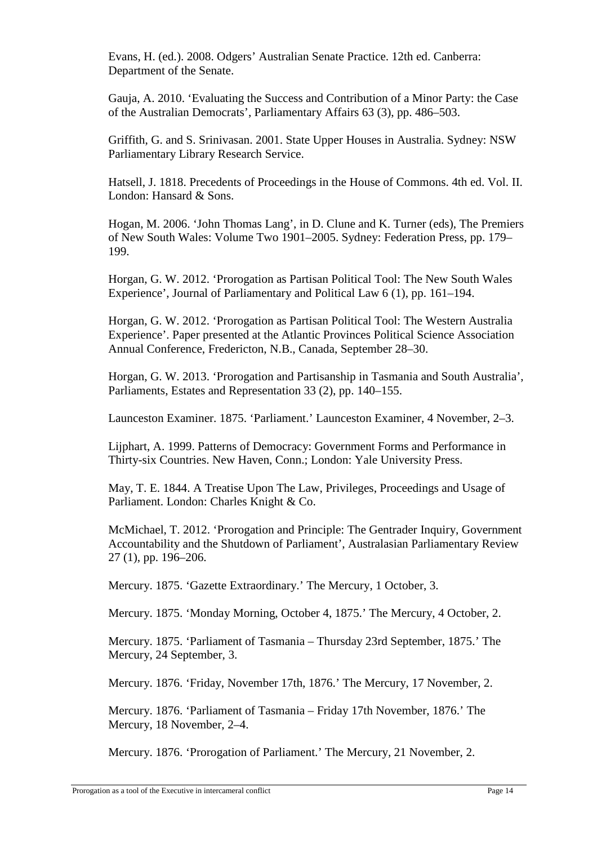Evans, H. (ed.). 2008. Odgers' Australian Senate Practice. 12th ed. Canberra: Department of the Senate.

Gauja, A. 2010. 'Evaluating the Success and Contribution of a Minor Party: the Case of the Australian Democrats', Parliamentary Affairs 63 (3), pp. 486–503.

Griffith, G. and S. Srinivasan. 2001. State Upper Houses in Australia. Sydney: NSW Parliamentary Library Research Service.

Hatsell, J. 1818. Precedents of Proceedings in the House of Commons. 4th ed. Vol. II. London: Hansard & Sons.

Hogan, M. 2006. 'John Thomas Lang', in D. Clune and K. Turner (eds), The Premiers of New South Wales: Volume Two 1901–2005. Sydney: Federation Press, pp. 179– 199.

Horgan, G. W. 2012. 'Prorogation as Partisan Political Tool: The New South Wales Experience', Journal of Parliamentary and Political Law 6 (1), pp. 161–194.

Horgan, G. W. 2012. 'Prorogation as Partisan Political Tool: The Western Australia Experience'. Paper presented at the Atlantic Provinces Political Science Association Annual Conference, Fredericton, N.B., Canada, September 28–30.

Horgan, G. W. 2013. 'Prorogation and Partisanship in Tasmania and South Australia', Parliaments, Estates and Representation 33 (2), pp. 140–155.

Launceston Examiner. 1875. 'Parliament.' Launceston Examiner, 4 November, 2–3.

Lijphart, A. 1999. Patterns of Democracy: Government Forms and Performance in Thirty-six Countries. New Haven, Conn.; London: Yale University Press.

May, T. E. 1844. A Treatise Upon The Law, Privileges, Proceedings and Usage of Parliament. London: Charles Knight & Co.

McMichael, T. 2012. 'Prorogation and Principle: The Gentrader Inquiry, Government Accountability and the Shutdown of Parliament', Australasian Parliamentary Review 27 (1), pp. 196–206.

Mercury. 1875. 'Gazette Extraordinary.' The Mercury, 1 October, 3.

Mercury. 1875. 'Monday Morning, October 4, 1875.' The Mercury, 4 October, 2.

Mercury. 1875. 'Parliament of Tasmania – Thursday 23rd September, 1875.' The Mercury, 24 September, 3.

Mercury. 1876. 'Friday, November 17th, 1876.' The Mercury, 17 November, 2.

Mercury. 1876. 'Parliament of Tasmania – Friday 17th November, 1876.' The Mercury, 18 November, 2–4.

Mercury. 1876. 'Prorogation of Parliament.' The Mercury, 21 November, 2.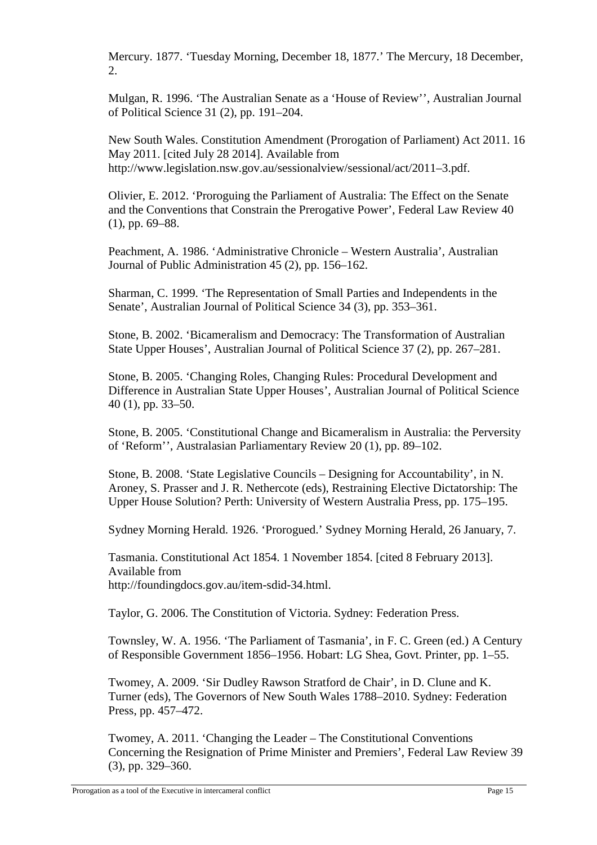Mercury. 1877. 'Tuesday Morning, December 18, 1877.' The Mercury, 18 December, 2.

Mulgan, R. 1996. 'The Australian Senate as a 'House of Review'', Australian Journal of Political Science 31 (2), pp. 191–204.

New South Wales. Constitution Amendment (Prorogation of Parliament) Act 2011. 16 May 2011. [cited July 28 2014]. Available from http://www.legislation.nsw.gov.au/sessionalview/sessional/act/2011–3.pdf.

Olivier, E. 2012. 'Proroguing the Parliament of Australia: The Effect on the Senate and the Conventions that Constrain the Prerogative Power', Federal Law Review 40 (1), pp. 69–88.

Peachment, A. 1986. 'Administrative Chronicle – Western Australia', Australian Journal of Public Administration 45 (2), pp. 156–162.

Sharman, C. 1999. 'The Representation of Small Parties and Independents in the Senate', Australian Journal of Political Science 34 (3), pp. 353–361.

Stone, B. 2002. 'Bicameralism and Democracy: The Transformation of Australian State Upper Houses', Australian Journal of Political Science 37 (2), pp. 267–281.

Stone, B. 2005. 'Changing Roles, Changing Rules: Procedural Development and Difference in Australian State Upper Houses', Australian Journal of Political Science 40 (1), pp. 33–50.

Stone, B. 2005. 'Constitutional Change and Bicameralism in Australia: the Perversity of 'Reform'', Australasian Parliamentary Review 20 (1), pp. 89–102.

Stone, B. 2008. 'State Legislative Councils – Designing for Accountability', in N. Aroney, S. Prasser and J. R. Nethercote (eds), Restraining Elective Dictatorship: The Upper House Solution? Perth: University of Western Australia Press, pp. 175–195.

Sydney Morning Herald. 1926. 'Prorogued.' Sydney Morning Herald, 26 January, 7.

Tasmania. Constitutional Act 1854. 1 November 1854. [cited 8 February 2013]. Available from http://foundingdocs.gov.au/item-sdid-34.html.

Taylor, G. 2006. The Constitution of Victoria. Sydney: Federation Press.

Townsley, W. A. 1956. 'The Parliament of Tasmania', in F. C. Green (ed.) A Century of Responsible Government 1856–1956. Hobart: LG Shea, Govt. Printer, pp. 1–55.

Twomey, A. 2009. 'Sir Dudley Rawson Stratford de Chair', in D. Clune and K. Turner (eds), The Governors of New South Wales 1788–2010. Sydney: Federation Press, pp. 457–472.

Twomey, A. 2011. 'Changing the Leader – The Constitutional Conventions Concerning the Resignation of Prime Minister and Premiers', Federal Law Review 39 (3), pp. 329–360.